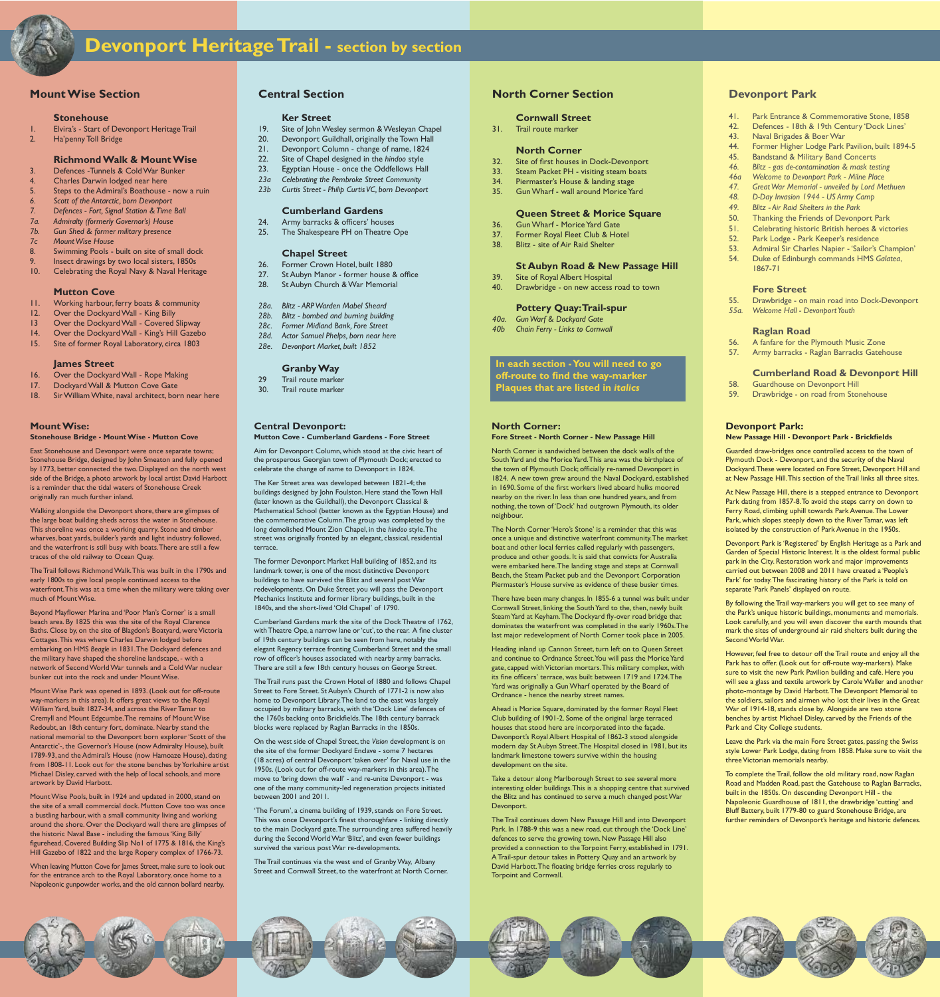#### **MountWise:**

#### **Stonehouse Bridge - MountWise - Mutton Cove**

East Stonehouse and Devonport were once separate towns; Stonehouse Bridge, designed by John Smeaton and fully opened by 1773, better connected the two. Displayed on the north west side of the Bridge, a photo artwork by local artist David Harbott is a reminder that the tidal waters of Stonehouse Creek originally ran much further inland.

The Trail follows RichmondWalk.This was built in the 1790s and early 1800s to give local people continued access to the waterfront.This was at a time when the military were taking over much of Mount Wise.

Beyond Mayflower Marina and 'Poor Man's Corner' is a small beach area. By 1825 this was the site of the Royal Clarence Baths. Close by, on the site of Blagdon's Boatyard, were Victoria Cottages.This was where Charles Darwin lodged before embarking on HMS *Beagle* in 1831.The Dockyard defences and the military have shaped the shoreline landscape, - with a network of SecondWorldWar tunnels and a ColdWar nuclear bunker cut into the rock and under Mount Wise.

Walking alongside the Devonport shore, there are glimpses of the large boat building sheds across the water in Stonehouse. This shoreline was once a working quarry. Stone and timber wharves, boat yards, builder's yards and light industry followed, and the waterfront is still busy with boats.There are still a few traces of the old railway to Ocean Quay.

Mount Wise Pools, built in 1924 and updated in 2000, stand on the site of a small commercial dock. Mutton Cove too was once a bustling harbour, with a small community living and working around the shore. Over the Dockyard wall there are glimpses of the historic Naval Base - including the famous'King Billy' figurehead, Covered Building Slip No1 of 1775 & 1816, the King's Hill Gazebo of 1822 and the large Ropery complex of 1766-73.

When leaving Mutton Cove for James Street, make sure to look out for the entrance arch to the Royal Laboratory, once home to a Napoleonic gunpowder works, and the old cannon bollard nearby.

MountWise Park was opened in 1893. (Look out for off-route way-markers in this area). It offers great views to the Royal WilliamYard, built 1827-34, and across the River Tamar to Cremyll and Mount Edgcumbe.The remains of MountWise Redoubt, an 18th century fort, dominate. Nearby stand the national memorial to the Devonport born explorer'Scott of the Antarctic'-, the Governor's House (now Admiralty House), built 1789-93, and the Admiral's House (now Hamoaze House), dating from 1808-11. Look out for the stone benches by Yorkshire artist Michael Disley, carved with the help of local schools, and more artwork by David Harbott.

> 'The Forum', a cinema building of 1939, stands on Fore Street. This was once Devonport's finest thoroughfare - linking directly to the main Dockyard gate.The surrounding area suffered heavily during the SecondWorldWar'Blitz', and even fewer buildings survived the various postWar re-developments.

## **Central Devonport:**

#### **Mutton Cove - Cumberland Gardens - Fore Street**

Aim for Devonport Column, which stood at the civic heart of the prosperous Georgian town of Plymouth Dock; erected to celebrate the change of name to Devonport in 1824.

The Ker Street area was developed between 1821-4; the buildings designed by John Foulston. Here stand the Town Hall (later known as the Guildhall), the Devonport Classical & Mathematical School (better known as the Egyptian House) and the commemorative Column.The group was completed by the long demolished Mount Zion Chapel, in the *hindoo* style.The street was originally fronted by an elegant, classical, residential terrace.

The former Devonport Market Hall building of 1852, and its landmark tower, is one of the most distinctive Devonport buildings to have survived the Blitz and several postWar redevelopments. On Duke Street you will pass the Devonport Mechanics Institute and former library buildings, built in the 1840s, and the short-lived 'Old Chapel' of 1790.

Cumberland Gardens mark the site of the Dock Theatre of 1762, with Theatre Ope, a narrow lane or 'cut', to the rear. A fine cluster of 19th century buildings can be seen from here, notably the elegant Regency terrace fronting Cumberland Street and the small row of officer's houses associated with nearby army barracks. There are still a few 18th century houses on George Street.

The Trail runs past the Crown Hotel of 1880 and follows Chapel Street to Fore Street. St Aubyn's Church of 1771-2 is now also home to Devonport Library.The land to the east was largely occupied by military barracks, with the 'Dock Line' defences of the 1760s backing onto Brickfields.The 18th century barrack blocks were replaced by Raglan Barracks in the 1850s.

On the west side of Chapel Street, the *Vision* development is on the site of the former Dockyard Enclave - some 7 hectares (18 acres) of central Devonport 'taken over' for Naval use in the 1950s. (Look out for off-route way-markers in this area).The move to 'bring down the wall' - and re-unite Devonport - was one of the many community-led regeneration projects initiated between 2001 and 2011.

style Lower Park Lodge, dating from 1858. Make sure to visit the three Victorian memorials nearby.

The Trail continues via the west end of GranbyWay, Albany Street and Cornwall Street, to the waterfront at North Corner.

- 19. Site of John Wesley sermon & Wesleyan Chapel
- 20. Devonport Guildhall, originally the Town Hall
- 21. Devonport Column change of name, 1824
- 22. Site of Chapel designed in the *hindoo* style
- 23. Egyptian House once the Oddfellows Hall
- *23a Celebrating the Pembroke Street Community*
- *23b Curtis Street - Philip Curtis VC, born Devonport*

#### **North Corner:**

**Fore Street - North Corner - New Passage Hill**

North Corner is sandwiched between the dock walls of the South Yard and the Morice Yard. This area was the birthplace of the town of Plymouth Dock; officially re-named Devonport in 1824. A new town grew around the Naval Dockyard, established in 1690. Some of the first workers lived aboard hulks moored nearby on the river. In less than one hundred years, and from nothing, the town of 'Dock' had outgrown Plymouth, its older neighbour.

The North Corner'Hero's Stone' is a reminder that this was once a unique and distinctive waterfront community.The market boat and other local ferries called regularly with passengers, produce and other goods. It is said that convicts for Australia were embarked here.The landing stage and steps at Cornwall Beach, the Steam Packet pub and the Devonport Corporation Piermaster's House survive as evidence of these busier times.

- 16. Over the Dockyard Wall Rope Making
- 17. Dockyard Wall & Mutton Cove Gate
- 18. SirWilliamWhite, naval architect, born near here
- 32. Site of first houses in Dock-Devonport
- 33. Steam Packet PH visiting steam boats
- 34. Piermaster's House & landing stage
- 35. Gun Wharf wall around Morice Yard

- 36. Gun Wharf Morice Yard Gate
- 37. Former Royal Fleet Club & Hotel
- 38. Blitz site of Air Raid Shelter

There have been many changes. In 1855-6 a tunnel was built under Cornwall Street, linking the South Yard to the, then, newly built SteamYard at Keyham.The Dockyard fly-over road bridge that dominates the waterfront was completed in the early 1960s.The last major redevelopment of North Corner took place in 2005.

Heading inland up Cannon Street, turn left on to Queen Street and continue to Ordnance Street. You will pass the Morice Yard gate, capped with Victorian mortars. This military complex, with its fine officers' terrace, was built between 1719 and 1724.The Yard was originally a GunWharf operated by the Board of Ordnance - hence the nearby street names.

Ahead is Morice Square, dominated by the former Royal Fleet Club building of 1901-2. Some of the original large terraced houses that stood here are incorporated into the façade. Devonport's Royal Albert Hospital of 1862-3 stood alongside modern day St Aubyn Street.The Hospital closed in 1981, but its landmark limestone towers survive within the housing development on the site.

Take a detour along Marlborough Street to see several more interesting older buildings.This is a shopping centre that survived the Blitz and has continued to serve a much changed postWar Devonport.

The Trail continues down New Passage Hill and into Devonport Park. In 1788-9 this was a new road, cut through the 'Dock Line' defences to serve the growing town. New Passage Hill also provided a connection to the Torpoint Ferry, established in 1791. ATrail-spur detour takes in Pottery Quay and an artwork by David Harbott.The floating bridge ferries cross regularly to Torpoint and Cornwall.

**Devonport Park:**

**New Passage Hill - Devonport Park - Brickfields**

Guarded draw-bridges once controlled access to the town of Plymouth Dock - Devonport, and the security of the Naval Dockyard.These were located on Fore Street, Devonport Hill and at New Passage Hill.This section of the Trail links all three sites. At New Passage Hill, there is a stepped entrance to Devonport Park dating from 1857-8.To avoid the steps carry on down to Ferry Road, climbing uphill towards Park Avenue.The Lower Park, which slopes steeply down to the River Tamar, was left isolated by the construction of Park Avenue in the 1950s.

Devonport Park is'Registered' by English Heritage as a Park and Garden of Special Historic Interest. It is the oldest formal public park in the City. Restoration work and major improvements carried out between 2008 and 2011 have created a 'People's Park' for today.The fascinating history of the Park is told on

separate 'Park Panels' displayed on route.

Second World War.

By following the Trail way-markers you will get to see many of the Park's unique historic buildings, monuments and memorials. Look carefully, and you will even discover the earth mounds that mark the sites of underground air raid shelters built during the

However, feel free to detour off the Trail route and enjoy all the Park has to offer. (Look out for off-route way-markers). Make sure to visit the new Park Pavilion building and café. Here you will see a glass and textile artwork by Carole Waller and another photo-montage by David Harbott.The Devonport Memorial to the soldiers, sailors and airmen who lost their lives in the Great War of 1914-18, stands close by. Alongside are two stone benches by artist Michael Disley, carved by the Friends of the

Park and City College students.

Leave the Park via the main Fore Street gates, passing the Swiss

To complete the Trail, follow the old military road, now Raglan Road and Madden Road, past the Gatehouse to Raglan Barracks, built in the 1850s. On descending Devonport Hill - the Napoleonic Guardhouse of 1811, the drawbridge 'cutting' and Bluff Battery, built 1779-80 to guard Stonehouse Bridge, are further reminders of Devonport's heritage and historic defences.



## **Central Section**

#### **Ker Street**

### **Cumberland Gardens**

- 24. Army barracks & officers' houses
- 25. The Shakespeare PH on Theatre Ope

## **Chapel Street**

- 26. Former Crown Hotel, built 1880
- 27. St Aubyn Manor former house & office
- 28. St Aubyn Church & War Memorial
- *28a. Blitz - ARPWarden Mabel Sheard*
- *28b. Blitz - bombed and burning building*
- *28c. Former Midland Bank, Fore Street*
- *28d. Actor Samuel Phelps, born near here*
- *28e. Devonport Market, built 1852*

### **GranbyWay**

- 29 Trail route marker
- 30. Trail route marker

## **MountWise Section**

#### **Stonehouse**

- 1. Elvira's Start of Devonport Heritage Trail
- 2. Ha'penny Toll Bridge

#### **RichmondWalk & MountWise**

- 3. Defences -Tunnels & ColdWar Bunker
- 4. Charles Darwin lodged near here
- 5. Steps to the Admiral's Boathouse now a ruin
- *6. Scott of the Antarctic, born Devonport*
- *7. Defences - Fort, Signal Station &Time Ball*
- *7a. Admiralty (formerly Governor's) House*
- *7b. Gun Shed & former military presence*
- *7c MountWise House*
- 8. Swimming Pools built on site of small dock
- 9. Insect drawings by two local sisters, 1850s
- 10. Celebrating the Royal Navy & Naval Heritage

#### **Mutton Cove**

- 11. Working harbour, ferry boats & community
- 12. Over the Dockyard Wall King Billy
- 13 Over the Dockyard Wall Covered Slipway
- 14. Over the Dockyard Wall King's Hill Gazebo
- 15. Site of former Royal Laboratory, circa 1803

#### **James Street**

## **North Corner Section**

#### **Cornwall Street**

31. Trail route marker

#### **North Corner**

## **Queen Street & Morice Square**

## **St Aubyn Road & New Passage Hill**

- 39. Site of Royal Albert Hospital
- 40. Drawbridge on new access road to town

## **Pottery Quay:Trail-spur**

- *40a. GunWarf & Dockyard Gate*
- *40b Chain Ferry - Links to Cornwall*

## **Devonport Park**

- 41. Park Entrance & Commemorative Stone, 1858
- 42. Defences 18th & 19th Century 'Dock Lines'
- 43. Naval Brigades & BoerWar
- 44. Former Higher Lodge Park Pavilion, built 1894-5
- 45. Bandstand & Military Band Concerts *46. Blitz - gas de-contamination & mask testing*

*46a Welcome to Devonport Park - Milne Place 47. GreatWar Memorial - unveiled by Lord Methuen*

*48. D-Day Invasion 1944 - US Army Camp 49. Blitz - Air Raid Shelters in the Park*

50. Thanking the Friends of Devonport Park 51. Celebrating historic British heroes & victories

52. Park Lodge - Park Keeper's residence

53. Admiral Sir Charles Napier - 'Sailor's Champion' 54. Duke of Edinburgh commands HMS *Galatea*,

1867-71

**Fore Street**

55. Drawbridge - on main road into Dock-Devonport

*55a. Welcome Hall - DevonportYouth*

**Raglan Road**

56. A fanfare for the Plymouth Music Zone 57. Army barracks - Raglan Barracks Gatehouse

**Cumberland Road & Devonport Hill**

58. Guardhouse on Devonport Hill

59. Drawbridge - on road from Stonehouse



# **Devonport HeritageTrail - section by section**

## **In each section -You will need to go**

**off-route to find the way-marker Plaques that are listed in** *italics*